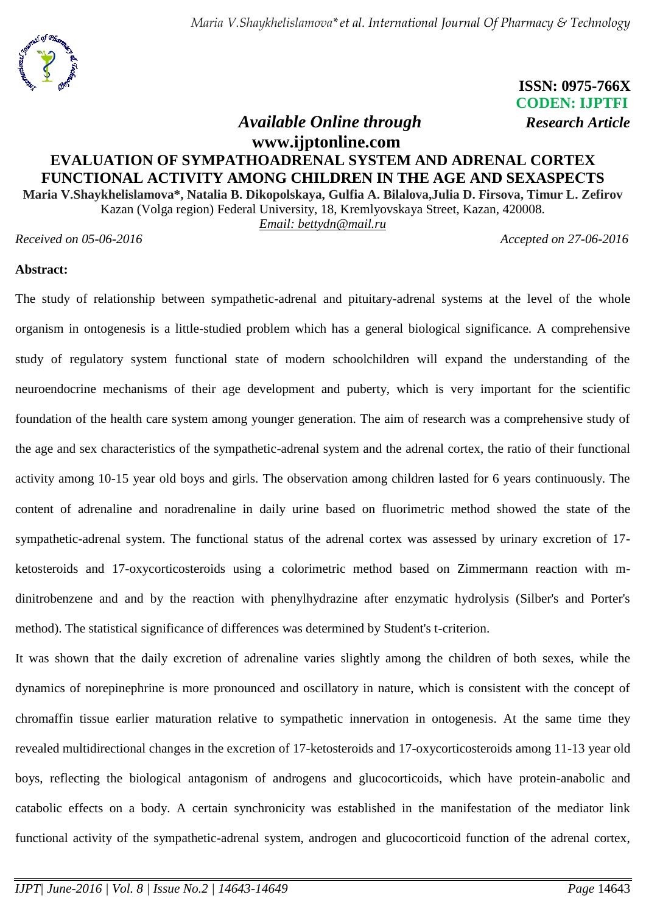### **ISSN: 0975-766X CODEN: IJPTFI**  *Available Online through Research Article*

## **www.ijptonline.com EVALUATION OF SYMPATHOADRENAL SYSTEM AND ADRENAL CORTEX FUNCTIONAL ACTIVITY AMONG CHILDREN IN THE AGE AND SEXASPEСTS**

**Maria V.Shaykhelislamova\*, Natalia B. Dikopolskaya, Gulfia A. Bilalova,Julia D. Firsova, Timur L. Zefirov** Kazan (Volga region) Federal University, 18, Kremlyovskaya Street, Kazan, 420008.

*Email: [bettydn@mail.ru](mailto:bettydn@mail.ru)*

*Received on 05-06-2016 Accepted on 27-06-2016*

#### **Abstract:**

The study of relationship between sympathetic-adrenal and pituitary-adrenal systems at the level of the whole organism in ontogenesis is a little-studied problem which has a general biological significance. A comprehensive study of regulatory system functional state of modern schoolchildren will expand the understanding of the neuroendocrine mechanisms of their age development and puberty, which is very important for the scientific foundation of the health care system among younger generation. The aim of research was a comprehensive study of the age and sex characteristics of the sympathetic-adrenal system and the adrenal cortex, the ratio of their functional activity among 10-15 year old boys and girls. The observation among children lasted for 6 years continuously. The content of adrenaline and noradrenaline in daily urine based on fluorimetric method showed the state of the sympathetic-adrenal system. The functional status of the adrenal cortex was assessed by urinary excretion of 17 ketosteroids and 17-oxycorticosteroids using a colorimetric method based on Zimmermann reaction with mdinitrobenzene and and by the reaction with phenylhydrazine after enzymatic hydrolysis (Silber's and Porter's method). The statistical significance of differences was determined by Student's t-criterion.

It was shown that the daily excretion of adrenaline varies slightly among the children of both sexes, while the dynamics of norepinephrine is more pronounced and oscillatory in nature, which is consistent with the concept of chromaffin tissue earlier maturation relative to sympathetic innervation in ontogenesis. At the same time they revealed multidirectional changes in the excretion of 17-ketosteroids and 17-oxycorticosteroids among 11-13 year old boys, reflecting the biological antagonism of androgens and glucocorticoids, which have protein-anabolic and catabolic effects on a body. A certain synchronicity was established in the manifestation of the mediator link functional activity of the sympathetic-adrenal system, androgen and glucocorticoid function of the adrenal cortex,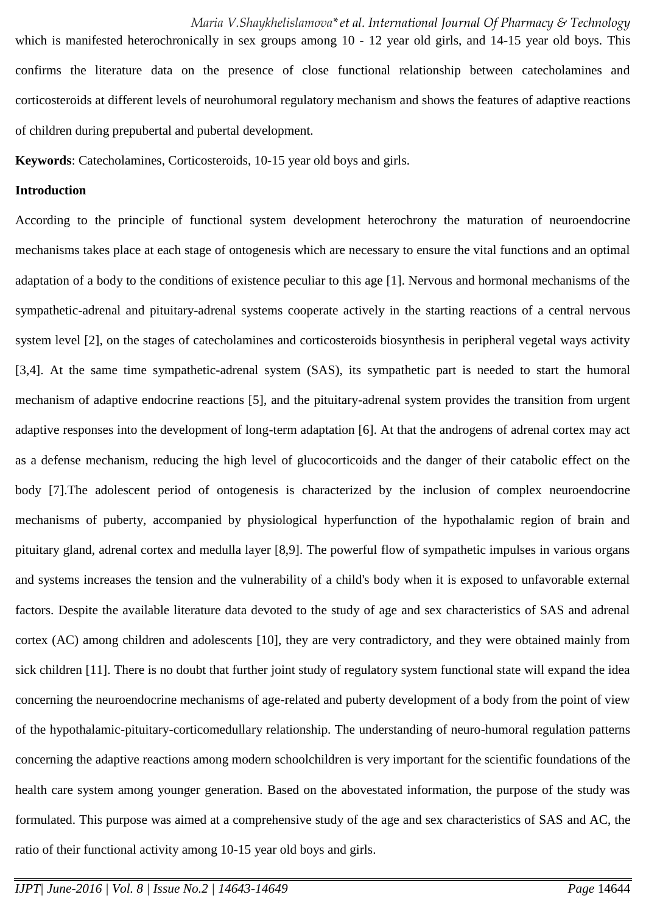which is manifested heterochronically in sex groups among 10 - 12 year old girls, and 14-15 year old boys. This confirms the literature data on the presence of close functional relationship between catecholamines and corticosteroids at different levels of neurohumoral regulatory mechanism and shows the features of adaptive reactions of children during prepubertal and pubertal development.

**Keywords**: Catecholamines, Corticosteroids, 10-15 year old boys and girls.

#### **Introduction**

According to the principle of functional system development heterochrony the maturation of neuroendocrine mechanisms takes place at each stage of ontogenesis which are necessary to ensure the vital functions and an optimal adaptation of a body to the conditions of existence peculiar to this age [1]. Nervous and hormonal mechanisms of the sympathetic-adrenal and pituitary-adrenal systems cooperate actively in the starting reactions of a central nervous system level [2], on the stages of catecholamines and corticosteroids biosynthesis in peripheral vegetal ways activity [3,4]. At the same time sympathetic-adrenal system (SAS), its sympathetic part is needed to start the humoral mechanism of adaptive endocrine reactions [5], and the pituitary-adrenal system provides the transition from urgent adaptive responses into the development of long-term adaptation [6]. At that the androgens of adrenal cortex may act as a defense mechanism, reducing the high level of glucocorticoids and the danger of their catabolic effect on the body [7].The adolescent period of ontogenesis is characterized by the inclusion of complex neuroendocrine mechanisms of puberty, accompanied by physiological hyperfunction of the hypothalamic region of brain and pituitary gland, adrenal cortex and medulla layer [8,9]. The powerful flow of sympathetic impulses in various organs and systems increases the tension and the vulnerability of a child's body when it is exposed to unfavorable external factors. Despite the available literature data devoted to the study of age and sex characteristics of SAS and adrenal cortex (AC) among children and adolescents [10], they are very contradictory, and they were obtained mainly from sick children [11]. There is no doubt that further joint study of regulatory system functional state will expand the idea concerning the neuroendocrine mechanisms of age-related and puberty development of a body from the point of view of the hypothalamic-pituitary-corticomedullary relationship. The understanding of neuro-humoral regulation patterns concerning the adaptive reactions among modern schoolchildren is very important for the scientific foundations of the health care system among younger generation. Based on the abovestated information, the purpose of the study was formulated. This purpose was aimed at a comprehensive study of the age and sex characteristics of SAS and AC, the ratio of their functional activity among 10-15 year old boys and girls.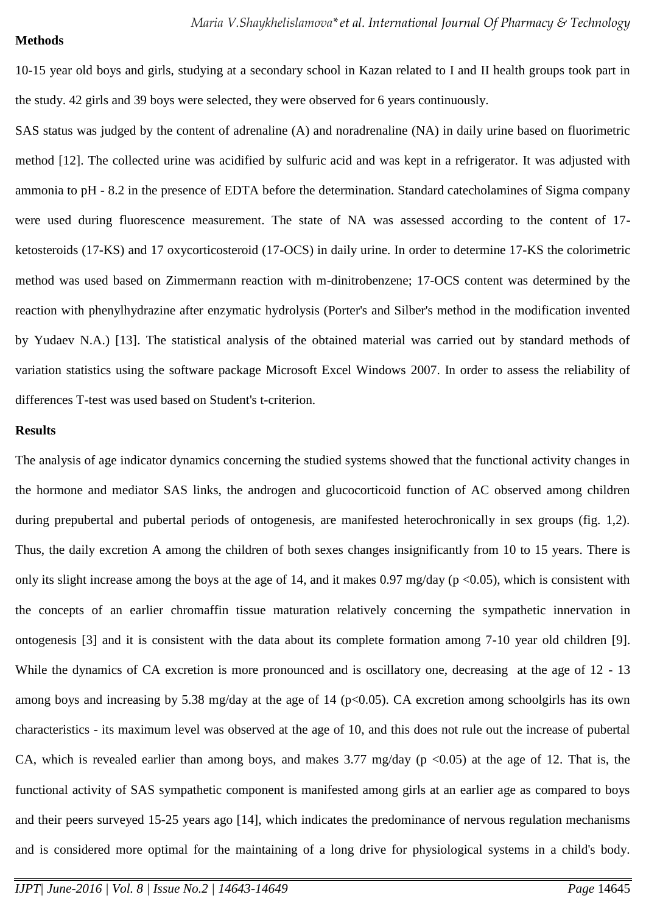#### **Methods**

10-15 year old boys and girls, studying at a secondary school in Kazan related to I and II health groups took part in the study. 42 girls and 39 boys were selected, they were observed for 6 years continuously.

SAS status was judged by the content of adrenaline (A) and noradrenaline (NA) in daily urine based on fluorimetric method [12]. The collected urine was acidified by sulfuric acid and was kept in a refrigerator. It was adjusted with ammonia to pH - 8.2 in the presence of EDTA before the determination. Standard catecholamines of Sigma company were used during fluorescence measurement. The state of NA was assessed according to the content of 17 ketosteroids (17-KS) and 17 oxycorticosteroid (17-OCS) in daily urine. In order to determine 17-KS the colorimetric method was used based on Zimmermann reaction with m-dinitrobenzene; 17-OCS content was determined by the reaction with phenylhydrazine after enzymatic hydrolysis (Porter's and Silber's method in the modification invented by Yudaev N.A.) [13]. The statistical analysis of the obtained material was carried out by standard methods of variation statistics using the software package Microsoft Excel Windows 2007. In order to assess the reliability of differences T-test was used based on Student's t-criterion.

#### **Results**

The analysis of age indicator dynamics concerning the studied systems showed that the functional activity changes in the hormone and mediator SAS links, the androgen and glucocorticoid function of AC observed among children during prepubertal and pubertal periods of ontogenesis, are manifested heterochronically in sex groups (fig. 1,2). Thus, the daily excretion A among the children of both sexes changes insignificantly from 10 to 15 years. There is only its slight increase among the boys at the age of 14, and it makes 0.97 mg/day ( $p < 0.05$ ), which is consistent with the concepts of an earlier chromaffin tissue maturation relatively concerning the sympathetic innervation in ontogenesis [3] and it is consistent with the data about its complete formation among 7-10 year old children [9]. While the dynamics of CA excretion is more pronounced and is oscillatory one, decreasing at the age of 12 - 13 among boys and increasing by 5.38 mg/day at the age of 14 ( $p<0.05$ ). CA excretion among schoolgirls has its own characteristics - its maximum level was observed at the age of 10, and this does not rule out the increase of pubertal CA, which is revealed earlier than among boys, and makes 3.77 mg/day ( $p \le 0.05$ ) at the age of 12. That is, the functional activity of SAS sympathetic component is manifested among girls at an earlier age as compared to boys and their peers surveyed 15-25 years ago [14], which indicates the predominance of nervous regulation mechanisms and is considered more optimal for the maintaining of a long drive for physiological systems in a child's body.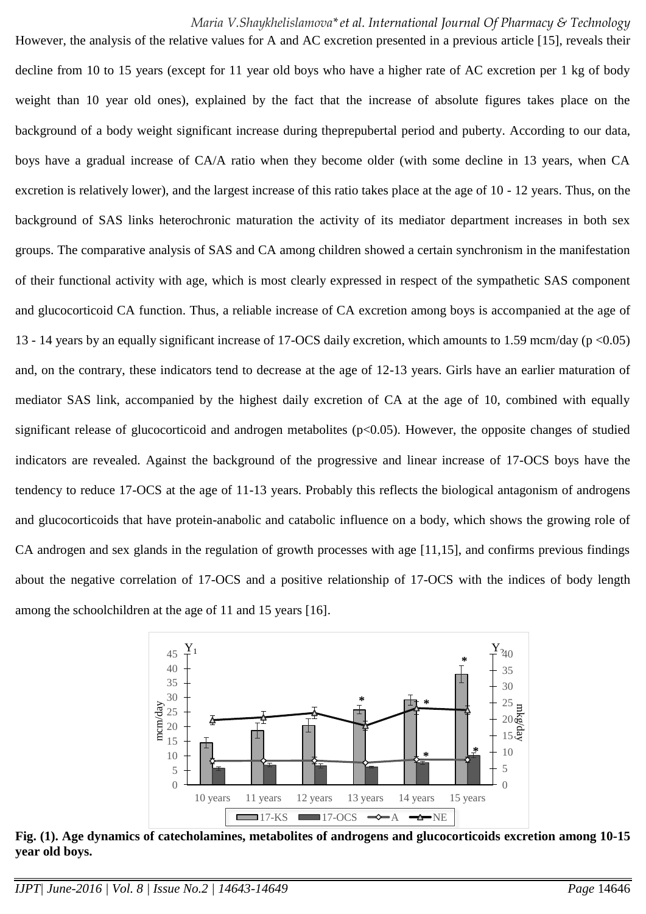However, the analysis of the relative values for A and AC excretion presented in a previous article [15], reveals their decline from 10 to 15 years (except for 11 year old boys who have a higher rate of AC excretion per 1 kg of body weight than 10 year old ones), explained by the fact that the increase of absolute figures takes place on the background of a body weight significant increase during theprepubertal period and puberty. According to our data, boys have a gradual increase of CA/A ratio when they become older (with some decline in 13 years, when CA excretion is relatively lower), and the largest increase of this ratio takes place at the age of 10 - 12 years. Thus, on the background of SAS links heterochronic maturation the activity of its mediator department increases in both sex groups. The comparative analysis of SAS and CA among children showed a certain synchronism in the manifestation of their functional activity with age, which is most clearly expressed in respect of the sympathetic SAS component and glucocorticoid CA function. Thus, a reliable increase of CA excretion among boys is accompanied at the age of 13 - 14 years by an equally significant increase of 17-OCS daily excretion, which amounts to 1.59 mcm/day (p <0.05) and, on the contrary, these indicators tend to decrease at the age of 12-13 years. Girls have an earlier maturation of mediator SAS link, accompanied by the highest daily excretion of CA at the age of 10, combined with equally significant release of glucocorticoid and androgen metabolites (p<0.05). However, the opposite changes of studied indicators are revealed. Against the background of the progressive and linear increase of 17-OCS boys have the tendency to reduce 17-OCS at the age of 11-13 years. Probably this reflects the biological antagonism of androgens and glucocorticoids that have protein-anabolic and catabolic influence on a body, which shows the growing role of CA androgen and sex glands in the regulation of growth processes with age [11,15], and confirms previous findings about the negative correlation of 17-OCS and a positive relationship of 17-OCS with the indices of body length among the schoolchildren at the age of 11 and 15 years [16].



**Fig. (1). Age dynamics of catecholamines, metabolites of androgens and glucocorticoids excretion among 10-15 year old boys.**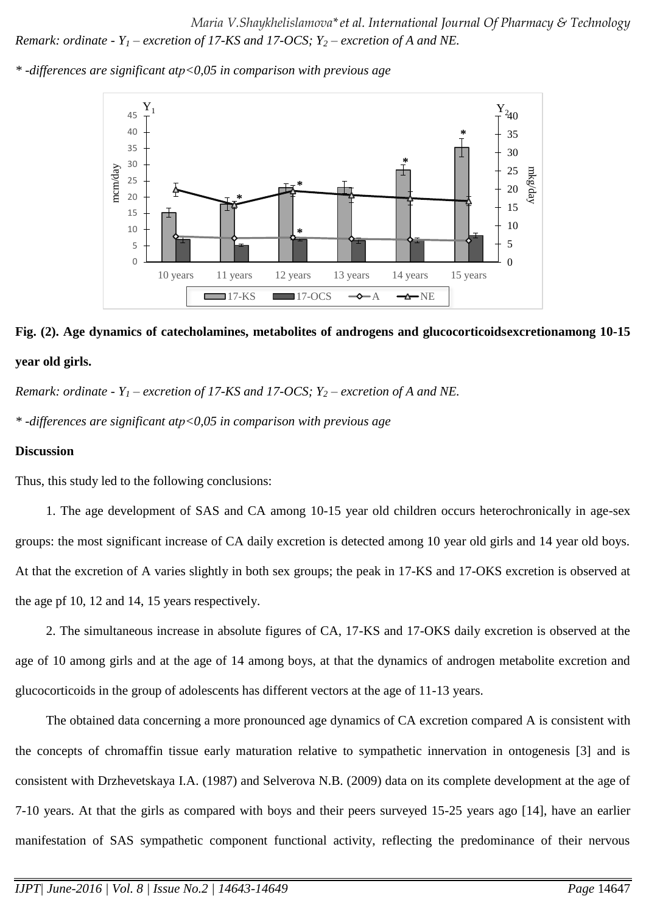*Maria V.Shaykhelislamova\*et al. International Journal Of Pharmacy & Technology Remark: ordinate - Y<sup>1</sup> – excretion of 17-KS and 17-OCS; Y<sup>2</sup> – excretion of A and NE.*





# **Fig. (2). Age dynamics of catecholamines, metabolites of androgens and glucocorticoidsexcretionamong 10-15 year old girls.**

*Remark: ordinate -*  $Y_1$  *– excretion of 17-KS and 17-OCS;*  $Y_2$  *– excretion of A and NE.* 

*\* -differences are significant atр<0,05 in comparison with previous age*

#### **Discussion**

Thus, this study led to the following conclusions:

1. The age development of SAS and CA among 10-15 year old children occurs heterochronically in age-sex groups: the most significant increase of CA daily excretion is detected among 10 year old girls and 14 year old boys. At that the excretion of A varies slightly in both sex groups; the peak in 17-KS and 17-OKS excretion is observed at the age pf 10, 12 and 14, 15 years respectively.

2. The simultaneous increase in absolute figures of CA, 17-KS and 17-OKS daily excretion is observed at the age of 10 among girls and at the age of 14 among boys, at that the dynamics of androgen metabolite excretion and glucocorticoids in the group of adolescents has different vectors at the age of 11-13 years.

The obtained data concerning a more pronounced age dynamics of CA excretion compared A is consistent with the concepts of chromaffin tissue early maturation relative to sympathetic innervation in ontogenesis [3] and is consistent with Drzhevetskaya I.A. (1987) and Selverova N.B. (2009) data on its complete development at the age of 7-10 years. At that the girls as compared with boys and their peers surveyed 15-25 years ago [14], have an earlier manifestation of SAS sympathetic component functional activity, reflecting the predominance of their nervous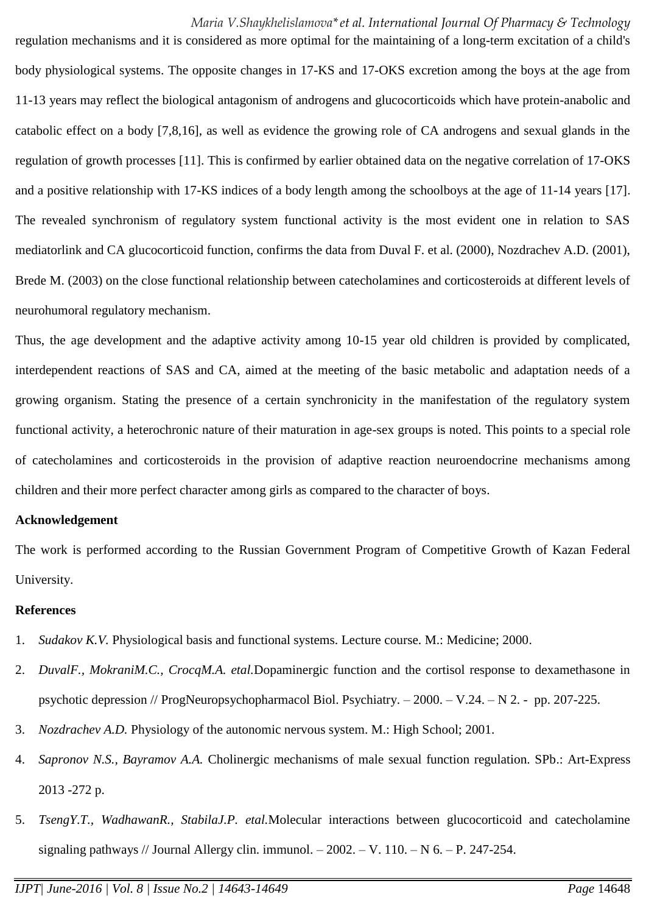regulation mechanisms and it is considered as more optimal for the maintaining of a long-term excitation of a child's body physiological systems. The opposite changes in 17-KS and 17-OKS excretion among the boys at the age from 11-13 years may reflect the biological antagonism of androgens and glucocorticoids which have protein-anabolic and catabolic effect on a body [7,8,16], as well as evidence the growing role of CA androgens and sexual glands in the regulation of growth processes [11]. This is confirmed by earlier obtained data on the negative correlation of 17-OKS and a positive relationship with 17-KS indices of a body length among the schoolboys at the age of 11-14 years [17]. The revealed synchronism of regulatory system functional activity is the most evident one in relation to SAS mediatorlink and CA glucocorticoid function, confirms the data from Duval F. et al. (2000), Nozdrachev A.D. (2001), Brede M. (2003) on the close functional relationship between catecholamines and corticosteroids at different levels of neurohumoral regulatory mechanism.

Thus, the age development and the adaptive activity among 10-15 year old children is provided by complicated, interdependent reactions of SAS and CA, aimed at the meeting of the basic metabolic and adaptation needs of a growing organism. Stating the presence of a certain synchronicity in the manifestation of the regulatory system functional activity, a heterochronic nature of their maturation in age-sex groups is noted. This points to a special role of catecholamines and corticosteroids in the provision of adaptive reaction neuroendocrine mechanisms among children and their more perfect character among girls as compared to the character of boys.

#### **Acknowledgement**

The work is performed according to the Russian Government Program of Competitive Growth of Kazan Federal University.

#### **References**

- 1. *Sudakov K.V.* Physiological basis and functional systems. Lecture course. M.: Medicine; 2000.
- 2. *DuvalF., MokraniM.C., CrocqM.A. etal.*Dopaminergic function and the cortisol response to dexamethasone in psychotic depression // ProgNeuropsychopharmacol Biol. Psychiatry. – 2000. – V.24. – N 2. - pp. 207-225.
- 3. *Nozdrachev A.D.* Physiology of the autonomic nervous system. M.: High School; 2001.
- 4. *Sapronov N.S., Bayramov A.A.* Cholinergic mechanisms of male sexual function regulation. SPb.: Art-Express 2013 -272 p.
- 5. *TsengY.T., WadhawanR., StabilaJ.P. etal.*Molecular interactions between glucocorticoid and catecholamine signaling pathways // Journal Allergy clin. immunol.  $-2002 - V$ . 110.  $- N$  6.  $- P$ . 247-254.